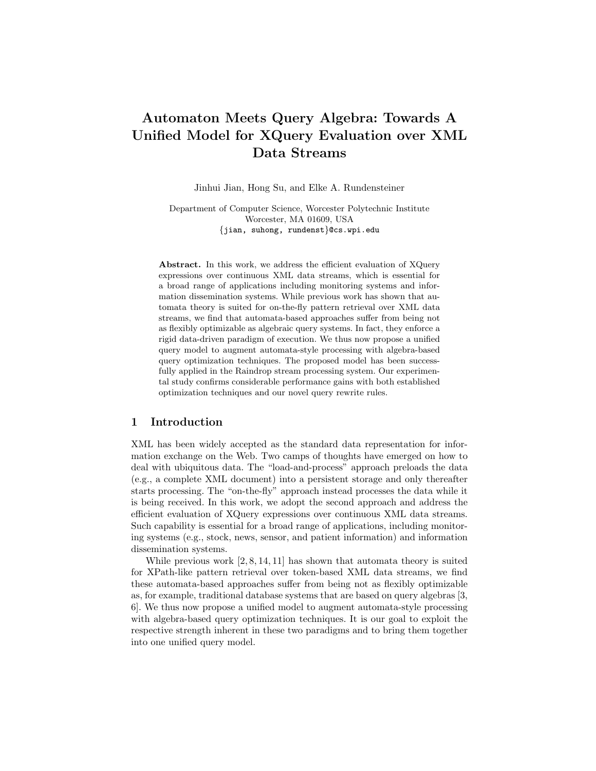# Automaton Meets Query Algebra: Towards A Unified Model for XQuery Evaluation over XML Data Streams

Jinhui Jian, Hong Su, and Elke A. Rundensteiner

Department of Computer Science, Worcester Polytechnic Institute Worcester, MA 01609, USA {jian, suhong, rundenst}@cs.wpi.edu

Abstract. In this work, we address the efficient evaluation of XQuery expressions over continuous XML data streams, which is essential for a broad range of applications including monitoring systems and information dissemination systems. While previous work has shown that automata theory is suited for on-the-fly pattern retrieval over XML data streams, we find that automata-based approaches suffer from being not as flexibly optimizable as algebraic query systems. In fact, they enforce a rigid data-driven paradigm of execution. We thus now propose a unified query model to augment automata-style processing with algebra-based query optimization techniques. The proposed model has been successfully applied in the Raindrop stream processing system. Our experimental study confirms considerable performance gains with both established optimization techniques and our novel query rewrite rules.

## 1 Introduction

XML has been widely accepted as the standard data representation for information exchange on the Web. Two camps of thoughts have emerged on how to deal with ubiquitous data. The "load-and-process" approach preloads the data (e.g., a complete XML document) into a persistent storage and only thereafter starts processing. The "on-the-fly" approach instead processes the data while it is being received. In this work, we adopt the second approach and address the efficient evaluation of XQuery expressions over continuous XML data streams. Such capability is essential for a broad range of applications, including monitoring systems (e.g., stock, news, sensor, and patient information) and information dissemination systems.

While previous work  $[2, 8, 14, 11]$  has shown that automata theory is suited for XPath-like pattern retrieval over token-based XML data streams, we find these automata-based approaches suffer from being not as flexibly optimizable as, for example, traditional database systems that are based on query algebras [3, 6]. We thus now propose a unified model to augment automata-style processing with algebra-based query optimization techniques. It is our goal to exploit the respective strength inherent in these two paradigms and to bring them together into one unified query model.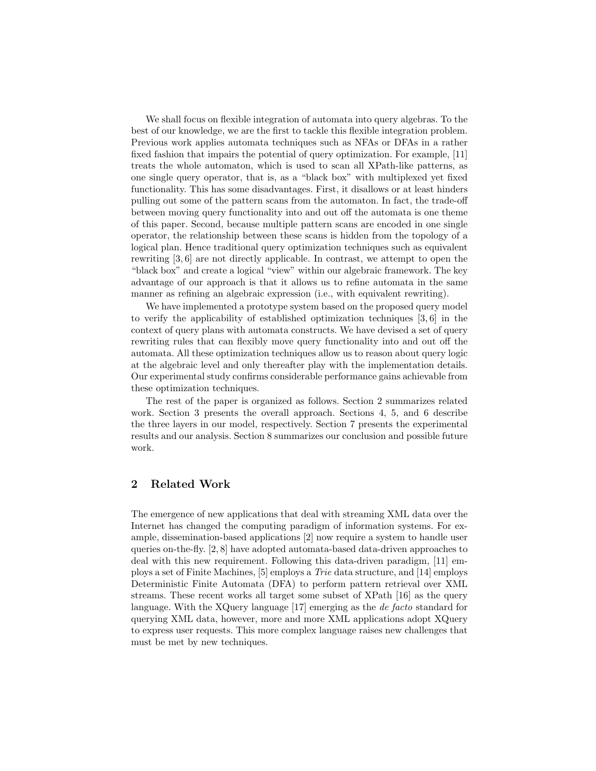We shall focus on flexible integration of automata into query algebras. To the best of our knowledge, we are the first to tackle this flexible integration problem. Previous work applies automata techniques such as NFAs or DFAs in a rather fixed fashion that impairs the potential of query optimization. For example, [11] treats the whole automaton, which is used to scan all XPath-like patterns, as one single query operator, that is, as a "black box" with multiplexed yet fixed functionality. This has some disadvantages. First, it disallows or at least hinders pulling out some of the pattern scans from the automaton. In fact, the trade-off between moving query functionality into and out off the automata is one theme of this paper. Second, because multiple pattern scans are encoded in one single operator, the relationship between these scans is hidden from the topology of a logical plan. Hence traditional query optimization techniques such as equivalent rewriting [3, 6] are not directly applicable. In contrast, we attempt to open the "black box" and create a logical "view" within our algebraic framework. The key advantage of our approach is that it allows us to refine automata in the same manner as refining an algebraic expression (i.e., with equivalent rewriting).

We have implemented a prototype system based on the proposed query model to verify the applicability of established optimization techniques [3, 6] in the context of query plans with automata constructs. We have devised a set of query rewriting rules that can flexibly move query functionality into and out off the automata. All these optimization techniques allow us to reason about query logic at the algebraic level and only thereafter play with the implementation details. Our experimental study confirms considerable performance gains achievable from these optimization techniques.

The rest of the paper is organized as follows. Section 2 summarizes related work. Section 3 presents the overall approach. Sections 4, 5, and 6 describe the three layers in our model, respectively. Section 7 presents the experimental results and our analysis. Section 8 summarizes our conclusion and possible future work.

## 2 Related Work

The emergence of new applications that deal with streaming XML data over the Internet has changed the computing paradigm of information systems. For example, dissemination-based applications [2] now require a system to handle user queries on-the-fly. [2, 8] have adopted automata-based data-driven approaches to deal with this new requirement. Following this data-driven paradigm, [11] employs a set of Finite Machines, [5] employs a Trie data structure, and [14] employs Deterministic Finite Automata (DFA) to perform pattern retrieval over XML streams. These recent works all target some subset of XPath [16] as the query language. With the XQuery language [17] emerging as the *de facto* standard for querying XML data, however, more and more XML applications adopt XQuery to express user requests. This more complex language raises new challenges that must be met by new techniques.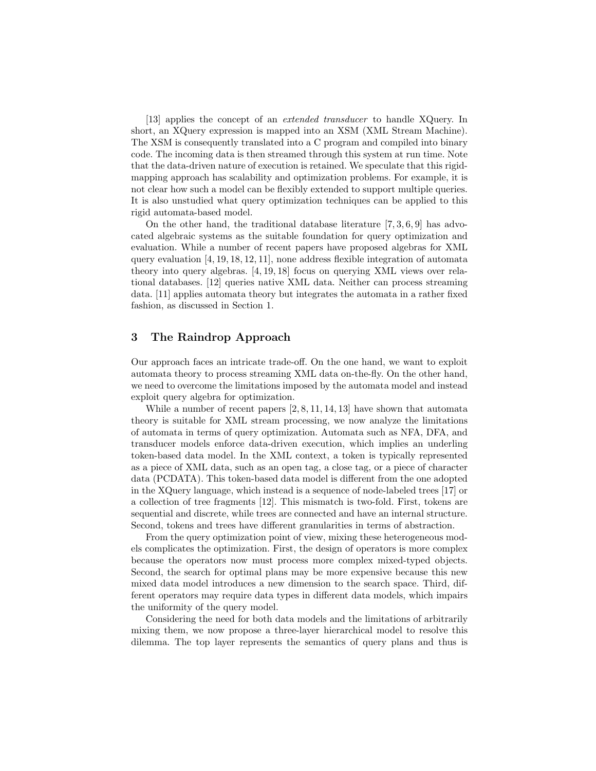[13] applies the concept of an extended transducer to handle XQuery. In short, an XQuery expression is mapped into an XSM (XML Stream Machine). The XSM is consequently translated into a C program and compiled into binary code. The incoming data is then streamed through this system at run time. Note that the data-driven nature of execution is retained. We speculate that this rigidmapping approach has scalability and optimization problems. For example, it is not clear how such a model can be flexibly extended to support multiple queries. It is also unstudied what query optimization techniques can be applied to this rigid automata-based model.

On the other hand, the traditional database literature  $[7, 3, 6, 9]$  has advocated algebraic systems as the suitable foundation for query optimization and evaluation. While a number of recent papers have proposed algebras for XML query evaluation  $[4, 19, 18, 12, 11]$ , none address flexible integration of automata theory into query algebras. [4, 19, 18] focus on querying XML views over relational databases. [12] queries native XML data. Neither can process streaming data. [11] applies automata theory but integrates the automata in a rather fixed fashion, as discussed in Section 1.

## 3 The Raindrop Approach

Our approach faces an intricate trade-off. On the one hand, we want to exploit automata theory to process streaming XML data on-the-fly. On the other hand, we need to overcome the limitations imposed by the automata model and instead exploit query algebra for optimization.

While a number of recent papers  $[2, 8, 11, 14, 13]$  have shown that automata theory is suitable for XML stream processing, we now analyze the limitations of automata in terms of query optimization. Automata such as NFA, DFA, and transducer models enforce data-driven execution, which implies an underling token-based data model. In the XML context, a token is typically represented as a piece of XML data, such as an open tag, a close tag, or a piece of character data (PCDATA). This token-based data model is different from the one adopted in the XQuery language, which instead is a sequence of node-labeled trees [17] or a collection of tree fragments [12]. This mismatch is two-fold. First, tokens are sequential and discrete, while trees are connected and have an internal structure. Second, tokens and trees have different granularities in terms of abstraction.

From the query optimization point of view, mixing these heterogeneous models complicates the optimization. First, the design of operators is more complex because the operators now must process more complex mixed-typed objects. Second, the search for optimal plans may be more expensive because this new mixed data model introduces a new dimension to the search space. Third, different operators may require data types in different data models, which impairs the uniformity of the query model.

Considering the need for both data models and the limitations of arbitrarily mixing them, we now propose a three-layer hierarchical model to resolve this dilemma. The top layer represents the semantics of query plans and thus is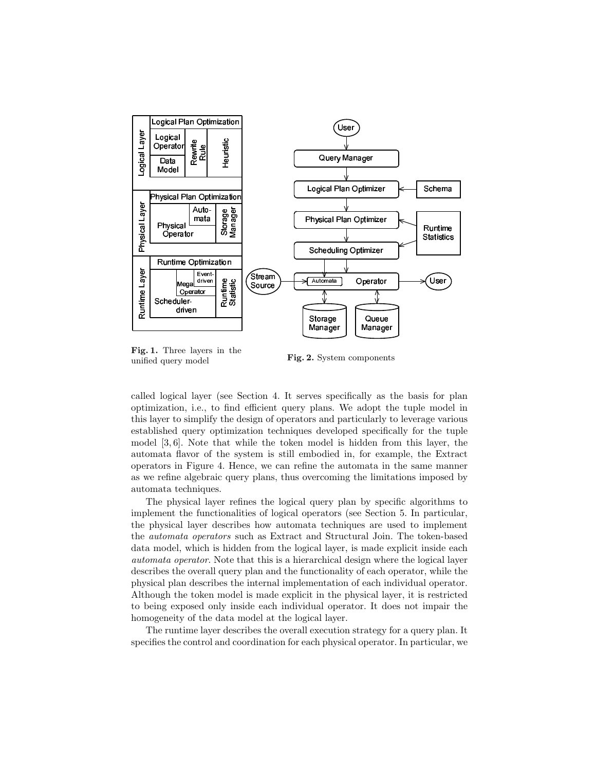

Fig. 1. Three layers in the unified query model

Fig. 2. System components

called logical layer (see Section 4. It serves specifically as the basis for plan optimization, i.e., to find efficient query plans. We adopt the tuple model in this layer to simplify the design of operators and particularly to leverage various established query optimization techniques developed specifically for the tuple model [3, 6]. Note that while the token model is hidden from this layer, the automata flavor of the system is still embodied in, for example, the Extract operators in Figure 4. Hence, we can refine the automata in the same manner as we refine algebraic query plans, thus overcoming the limitations imposed by automata techniques.

The physical layer refines the logical query plan by specific algorithms to implement the functionalities of logical operators (see Section 5. In particular, the physical layer describes how automata techniques are used to implement the automata operators such as Extract and Structural Join. The token-based data model, which is hidden from the logical layer, is made explicit inside each automata operator. Note that this is a hierarchical design where the logical layer describes the overall query plan and the functionality of each operator, while the physical plan describes the internal implementation of each individual operator. Although the token model is made explicit in the physical layer, it is restricted to being exposed only inside each individual operator. It does not impair the homogeneity of the data model at the logical layer.

The runtime layer describes the overall execution strategy for a query plan. It specifies the control and coordination for each physical operator. In particular, we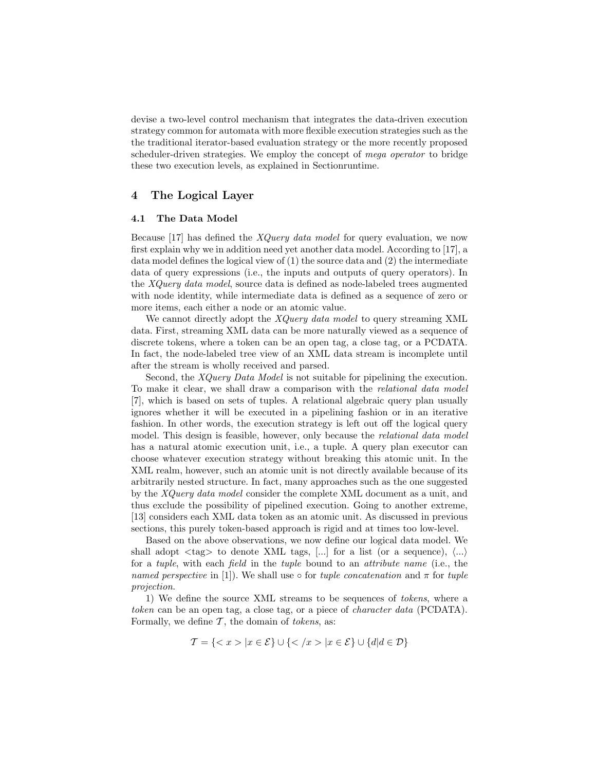devise a two-level control mechanism that integrates the data-driven execution strategy common for automata with more flexible execution strategies such as the the traditional iterator-based evaluation strategy or the more recently proposed scheduler-driven strategies. We employ the concept of mega operator to bridge these two execution levels, as explained in Sectionruntime.

## 4 The Logical Layer

#### 4.1 The Data Model

Because [17] has defined the XQuery data model for query evaluation, we now first explain why we in addition need yet another data model. According to [17], a data model defines the logical view of (1) the source data and (2) the intermediate data of query expressions (i.e., the inputs and outputs of query operators). In the XQuery data model, source data is defined as node-labeled trees augmented with node identity, while intermediate data is defined as a sequence of zero or more items, each either a node or an atomic value.

We cannot directly adopt the *XQuery data model* to query streaming XML data. First, streaming XML data can be more naturally viewed as a sequence of discrete tokens, where a token can be an open tag, a close tag, or a PCDATA. In fact, the node-labeled tree view of an XML data stream is incomplete until after the stream is wholly received and parsed.

Second, the XQuery Data Model is not suitable for pipelining the execution. To make it clear, we shall draw a comparison with the relational data model [7], which is based on sets of tuples. A relational algebraic query plan usually ignores whether it will be executed in a pipelining fashion or in an iterative fashion. In other words, the execution strategy is left out off the logical query model. This design is feasible, however, only because the *relational data model* has a natural atomic execution unit, i.e., a tuple. A query plan executor can choose whatever execution strategy without breaking this atomic unit. In the XML realm, however, such an atomic unit is not directly available because of its arbitrarily nested structure. In fact, many approaches such as the one suggested by the XQuery data model consider the complete XML document as a unit, and thus exclude the possibility of pipelined execution. Going to another extreme, [13] considers each XML data token as an atomic unit. As discussed in previous sections, this purely token-based approach is rigid and at times too low-level.

Based on the above observations, we now define our logical data model. We shall adopt  $\langle \text{tag} \rangle$  to denote XML tags, [...] for a list (or a sequence),  $\langle ... \rangle$ for a tuple, with each field in the tuple bound to an attribute name (i.e., the named perspective in [1]). We shall use  $\circ$  for tuple concatenation and  $\pi$  for tuple projection.

1) We define the source XML streams to be sequences of tokens, where a token can be an open tag, a close tag, or a piece of character data (PCDATA). Formally, we define  $\mathcal T$ , the domain of tokens, as:

$$
\mathcal{T} = \{ \langle x \rangle | x \in \mathcal{E} \} \cup \{ \langle x \rangle | x \in \mathcal{E} \} \cup \{ d | d \in \mathcal{D} \}
$$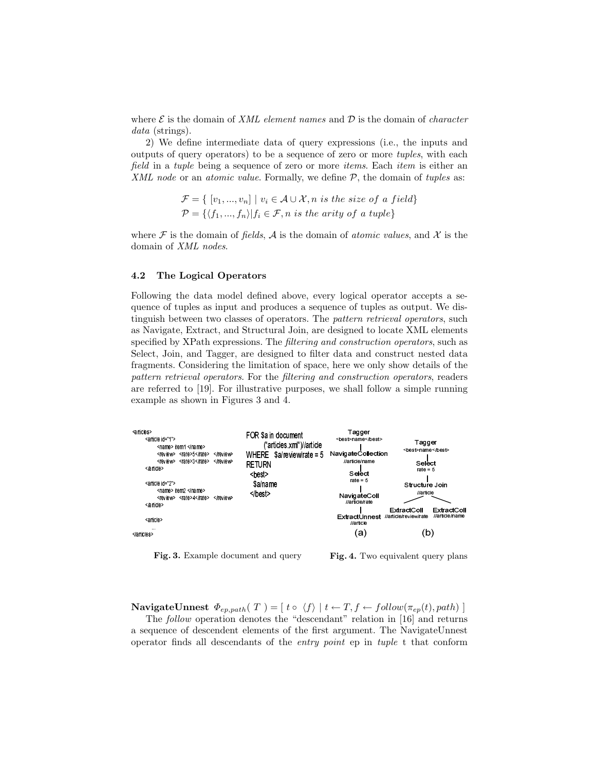where  $\mathcal E$  is the domain of XML element names and  $\mathcal D$  is the domain of *character* data (strings).

2) We define intermediate data of query expressions (i.e., the inputs and outputs of query operators) to be a sequence of zero or more tuples, with each field in a tuple being a sequence of zero or more *items*. Each *item* is either an  $XML\ node$  or an *atomic value*. Formally, we define  $P$ , the domain of *tuples* as:

$$
\mathcal{F} = \{ [v_1, ..., v_n] \mid v_i \in \mathcal{A} \cup \mathcal{X}, n \text{ is the size of a field} \}
$$

$$
\mathcal{P} = \{ \langle f_1, ..., f_n \rangle | f_i \in \mathcal{F}, n \text{ is the arity of a tuple} \}
$$

where  $\mathcal F$  is the domain of fields,  $\mathcal A$  is the domain of atomic values, and  $\mathcal X$  is the domain of XML nodes.

#### 4.2 The Logical Operators

Following the data model defined above, every logical operator accepts a sequence of tuples as input and produces a sequence of tuples as output. We distinguish between two classes of operators. The pattern retrieval operators, such as Navigate, Extract, and Structural Join, are designed to locate XML elements specified by XPath expressions. The *filtering and construction operators*, such as Select, Join, and Tagger, are designed to filter data and construct nested data fragments. Considering the limitation of space, here we only show details of the pattern retrieval operators. For the filtering and construction operators, readers are referred to [19]. For illustrative purposes, we shall follow a simple running example as shown in Figures 3 and 4.



Fig. 3. Example document and query

Fig. 4. Two equivalent query plans

**NavigateUnnest**  $\Phi_{ep, path}(T) = [t \circ \langle f \rangle | t \leftarrow T, f \leftarrow follow(\pi_{ep}(t), path)]$ 

The follow operation denotes the "descendant" relation in [16] and returns a sequence of descendent elements of the first argument. The NavigateUnnest operator finds all descendants of the entry point ep in tuple t that conform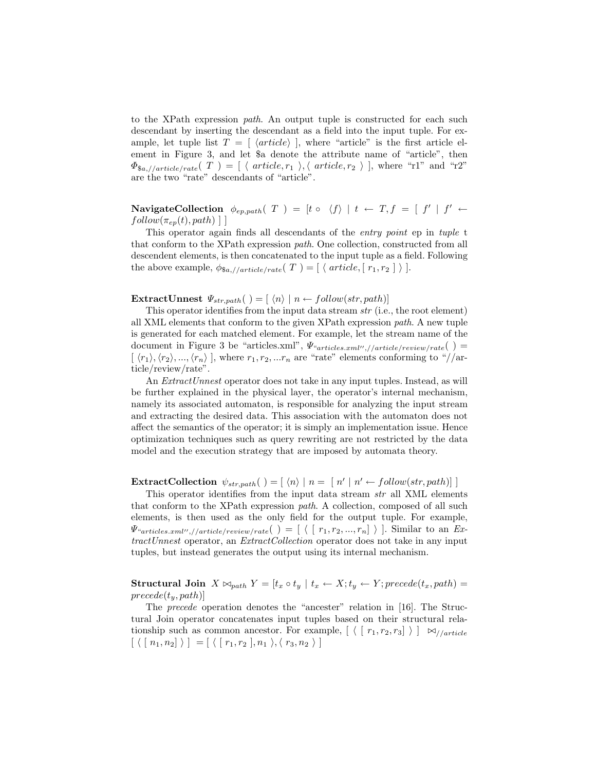to the XPath expression path. An output tuple is constructed for each such descendant by inserting the descendant as a field into the input tuple. For example, let tuple list  $T = [\langle article \rangle]$ , where "article" is the first article element in Figure 3, and let \$a denote the attribute name of "article", then  $\Phi_{\$a//article/rate}$   $(T) = [\langle article, r_1 \rangle, \langle article, r_2 \rangle]$ , where "r1" and "r2" are the two "rate" descendants of "article".

NavigateCollection  $\phi_{ep, path}(\tau) = [t \circ \langle f \rangle | t \leftarrow \tau, f = [f' | f' \leftarrow$  $follow(\pi_{ep}(t), path)$  | |

This operator again finds all descendants of the *entry point* ep in tuple t that conform to the XPath expression path. One collection, constructed from all descendent elements, is then concatenated to the input tuple as a field. Following the above example,  $\phi_{\$a,//article/rate}(T) = [\langle article, [r_1, r_2] \rangle].$ 

ExtractUnnest  $\Psi_{str, path} ( ) = [ \langle n \rangle | n \leftarrow follow(str, path) ]$ 

This operator identifies from the input data stream str (i.e., the root element) all XML elements that conform to the given XPath expression path. A new tuple is generated for each matched element. For example, let the stream name of the document in Figure 3 be "articles.xml",  $\Psi_{\text{a}}$ <sub>articles.xml"</sub>,//article/review/rate() =  $[\langle r_1\rangle,\langle r_2\rangle,...,\langle r_n\rangle ]$ , where  $r_1, r_2,...r_n$  are "rate" elements conforming to "//article/review/rate".

An ExtractUnnest operator does not take in any input tuples. Instead, as will be further explained in the physical layer, the operator's internal mechanism, namely its associated automaton, is responsible for analyzing the input stream and extracting the desired data. This association with the automaton does not affect the semantics of the operator; it is simply an implementation issue. Hence optimization techniques such as query rewriting are not restricted by the data model and the execution strategy that are imposed by automata theory.

ExtractCollection  $\psi_{str, path}$  $( ) = [ \langle n \rangle | n = [ n' | n' \leftarrow follow(str, path ) ] ]$ 

This operator identifies from the input data stream str all XML elements that conform to the XPath expression path. A collection, composed of all such elements, is then used as the only field for the output tuple. For example,  $\Psi_{\text{a}}(t) = [\langle r_1, r_2, ..., r_n] \rangle]$ . Similar to an ExtractUnnest operator, an ExtractCollection operator does not take in any input tuples, but instead generates the output using its internal mechanism.

Structural Join  $X \bowtie_{path} Y = [t_x \circ t_y \mid t_x \leftarrow X; t_y \leftarrow Y; precede(t_x, path) =$  $precede(t_y, path)]$ 

The precede operation denotes the "ancester" relation in [16]. The Structural Join operator concatenates input tuples based on their structural relationship such as common ancestor. For example,  $[\langle [ r_1, r_2, r_3] \rangle ] \, \simeq$  $[ \langle [ n_1, n_2 ] \rangle ] = [ \langle [ r_1, r_2 ], n_1 \rangle, \langle r_3, n_2 \rangle ]$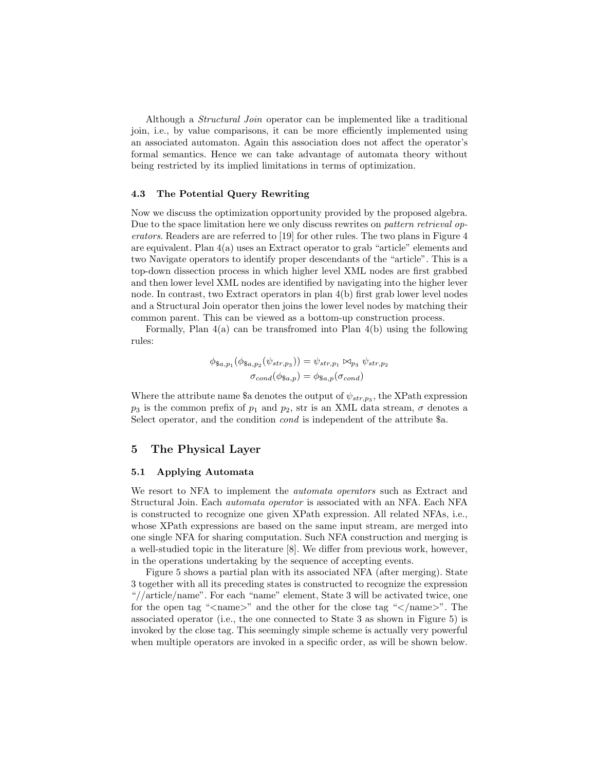Although a Structural Join operator can be implemented like a traditional join, i.e., by value comparisons, it can be more efficiently implemented using an associated automaton. Again this association does not affect the operator's formal semantics. Hence we can take advantage of automata theory without being restricted by its implied limitations in terms of optimization.

#### 4.3 The Potential Query Rewriting

Now we discuss the optimization opportunity provided by the proposed algebra. Due to the space limitation here we only discuss rewrites on pattern retrieval operators. Readers are are referred to [19] for other rules. The two plans in Figure 4 are equivalent. Plan 4(a) uses an Extract operator to grab "article" elements and two Navigate operators to identify proper descendants of the "article". This is a top-down dissection process in which higher level XML nodes are first grabbed and then lower level XML nodes are identified by navigating into the higher lever node. In contrast, two Extract operators in plan 4(b) first grab lower level nodes and a Structural Join operator then joins the lower level nodes by matching their common parent. This can be viewed as a bottom-up construction process.

Formally, Plan 4(a) can be transfromed into Plan 4(b) using the following rules:

$$
\phi_{\$a,p_1}(\phi_{\$a,p_2}(\psi_{str,p_3})) = \psi_{str,p_1} \bowtie_{p_3} \psi_{str,p_2}
$$

$$
\sigma_{cond}(\phi_{\$a,p}) = \phi_{\$a,p}(\sigma_{cond})
$$

Where the attribute name \$a denotes the output of  $\psi_{str,p_3}$ , the XPath expression  $p_3$  is the common prefix of  $p_1$  and  $p_2$ , str is an XML data stream,  $\sigma$  denotes a Select operator, and the condition *cond* is independent of the attribute \$a.

### 5 The Physical Layer

#### 5.1 Applying Automata

We resort to NFA to implement the *automata operators* such as Extract and Structural Join. Each automata operator is associated with an NFA. Each NFA is constructed to recognize one given XPath expression. All related NFAs, i.e., whose XPath expressions are based on the same input stream, are merged into one single NFA for sharing computation. Such NFA construction and merging is a well-studied topic in the literature [8]. We differ from previous work, however, in the operations undertaking by the sequence of accepting events.

Figure 5 shows a partial plan with its associated NFA (after merging). State 3 together with all its preceding states is constructed to recognize the expression "//article/name". For each "name" element, State 3 will be activated twice, one for the open tag " $\langle$ name $\rangle$ " and the other for the close tag " $\langle$ /name $\rangle$ ". The associated operator (i.e., the one connected to State 3 as shown in Figure 5) is invoked by the close tag. This seemingly simple scheme is actually very powerful when multiple operators are invoked in a specific order, as will be shown below.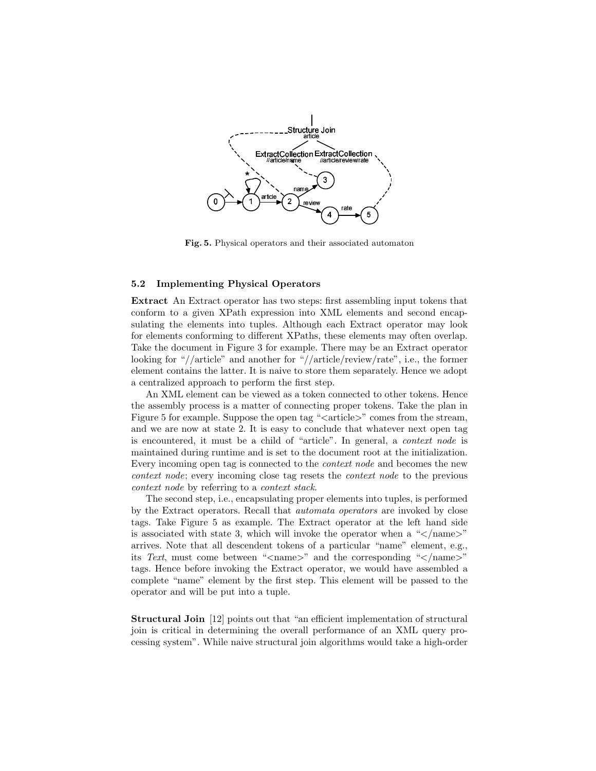

Fig. 5. Physical operators and their associated automaton

#### 5.2 Implementing Physical Operators

Extract An Extract operator has two steps: first assembling input tokens that conform to a given XPath expression into XML elements and second encapsulating the elements into tuples. Although each Extract operator may look for elements conforming to different XPaths, these elements may often overlap. Take the document in Figure 3 for example. There may be an Extract operator looking for "//article" and another for "//article/review/rate", i.e., the former element contains the latter. It is naive to store them separately. Hence we adopt a centralized approach to perform the first step.

An XML element can be viewed as a token connected to other tokens. Hence the assembly process is a matter of connecting proper tokens. Take the plan in Figure 5 for example. Suppose the open tag "<article>" comes from the stream, and we are now at state 2. It is easy to conclude that whatever next open tag is encountered, it must be a child of "article". In general, a context node is maintained during runtime and is set to the document root at the initialization. Every incoming open tag is connected to the context node and becomes the new context node; every incoming close tag resets the context node to the previous context node by referring to a context stack.

The second step, i.e., encapsulating proper elements into tuples, is performed by the Extract operators. Recall that automata operators are invoked by close tags. Take Figure 5 as example. The Extract operator at the left hand side is associated with state 3, which will invoke the operator when a " $\langle$ /name $\rangle$ " arrives. Note that all descendent tokens of a particular "name" element, e.g., its Text, must come between " $\langle$ name $\rangle$ " and the corresponding " $\langle$ /name $\rangle$ " tags. Hence before invoking the Extract operator, we would have assembled a complete "name" element by the first step. This element will be passed to the operator and will be put into a tuple.

Structural Join [12] points out that "an efficient implementation of structural join is critical in determining the overall performance of an XML query processing system". While naive structural join algorithms would take a high-order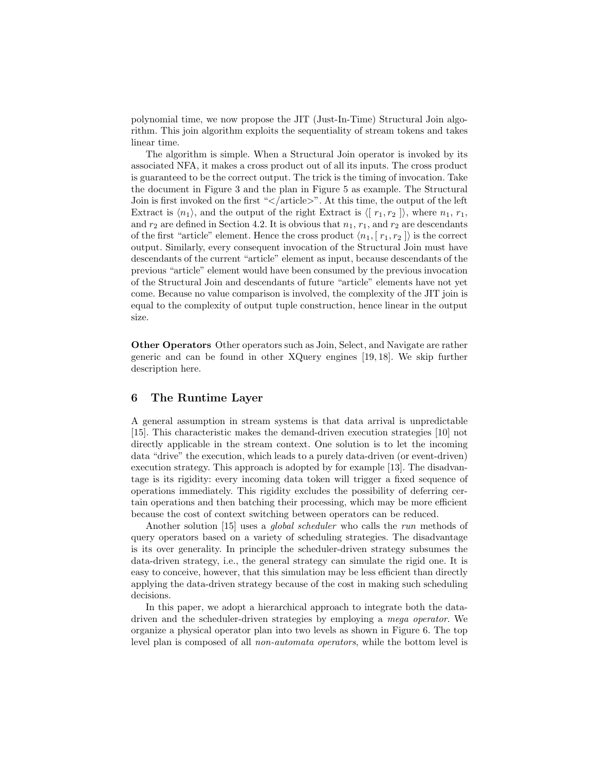polynomial time, we now propose the JIT (Just-In-Time) Structural Join algorithm. This join algorithm exploits the sequentiality of stream tokens and takes linear time.

The algorithm is simple. When a Structural Join operator is invoked by its associated NFA, it makes a cross product out of all its inputs. The cross product is guaranteed to be the correct output. The trick is the timing of invocation. Take the document in Figure 3 and the plan in Figure 5 as example. The Structural Join is first invoked on the first "</article>". At this time, the output of the left Extract is  $\langle n_1 \rangle$ , and the output of the right Extract is  $\langle r_1, r_2 \rangle$ , where  $n_1, r_1$ , and  $r_2$  are defined in Section 4.2. It is obvious that  $n_1, r_1$ , and  $r_2$  are descendants of the first "article" element. Hence the cross product  $\langle n_1, [ r_1, r_2 ] \rangle$  is the correct output. Similarly, every consequent invocation of the Structural Join must have descendants of the current "article" element as input, because descendants of the previous "article" element would have been consumed by the previous invocation of the Structural Join and descendants of future "article" elements have not yet come. Because no value comparison is involved, the complexity of the JIT join is equal to the complexity of output tuple construction, hence linear in the output size.

Other Operators Other operators such as Join, Select, and Navigate are rather generic and can be found in other XQuery engines [19, 18]. We skip further description here.

#### 6 The Runtime Layer

A general assumption in stream systems is that data arrival is unpredictable [15]. This characteristic makes the demand-driven execution strategies [10] not directly applicable in the stream context. One solution is to let the incoming data "drive" the execution, which leads to a purely data-driven (or event-driven) execution strategy. This approach is adopted by for example [13]. The disadvantage is its rigidity: every incoming data token will trigger a fixed sequence of operations immediately. This rigidity excludes the possibility of deferring certain operations and then batching their processing, which may be more efficient because the cost of context switching between operators can be reduced.

Another solution [15] uses a *global scheduler* who calls the *run* methods of query operators based on a variety of scheduling strategies. The disadvantage is its over generality. In principle the scheduler-driven strategy subsumes the data-driven strategy, i.e., the general strategy can simulate the rigid one. It is easy to conceive, however, that this simulation may be less efficient than directly applying the data-driven strategy because of the cost in making such scheduling decisions.

In this paper, we adopt a hierarchical approach to integrate both the datadriven and the scheduler-driven strategies by employing a mega operator. We organize a physical operator plan into two levels as shown in Figure 6. The top level plan is composed of all non-automata operators, while the bottom level is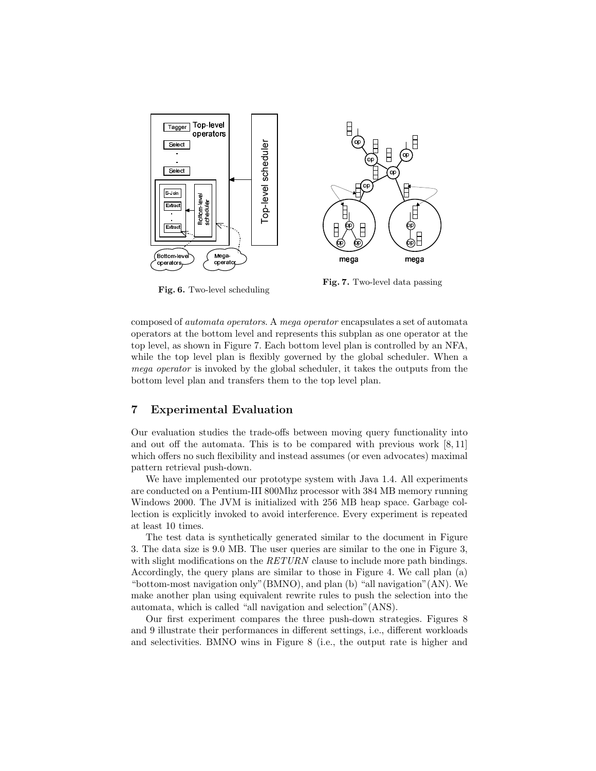



Fig. 6. Two-level scheduling

Fig. 7. Two-level data passing

composed of automata operators. A mega operator encapsulates a set of automata operators at the bottom level and represents this subplan as one operator at the top level, as shown in Figure 7. Each bottom level plan is controlled by an NFA, while the top level plan is flexibly governed by the global scheduler. When a mega operator is invoked by the global scheduler, it takes the outputs from the bottom level plan and transfers them to the top level plan.

## 7 Experimental Evaluation

Our evaluation studies the trade-offs between moving query functionality into and out off the automata. This is to be compared with previous work  $[8, 11]$ which offers no such flexibility and instead assumes (or even advocates) maximal pattern retrieval push-down.

We have implemented our prototype system with Java 1.4. All experiments are conducted on a Pentium-III 800Mhz processor with 384 MB memory running Windows 2000. The JVM is initialized with 256 MB heap space. Garbage collection is explicitly invoked to avoid interference. Every experiment is repeated at least 10 times.

The test data is synthetically generated similar to the document in Figure 3. The data size is 9.0 MB. The user queries are similar to the one in Figure 3, with slight modifications on the  $RETURN$  clause to include more path bindings. Accordingly, the query plans are similar to those in Figure 4. We call plan (a) "bottom-most navigation only"(BMNO), and plan (b) "all navigation"(AN). We make another plan using equivalent rewrite rules to push the selection into the automata, which is called "all navigation and selection"(ANS).

Our first experiment compares the three push-down strategies. Figures 8 and 9 illustrate their performances in different settings, i.e., different workloads and selectivities. BMNO wins in Figure 8 (i.e., the output rate is higher and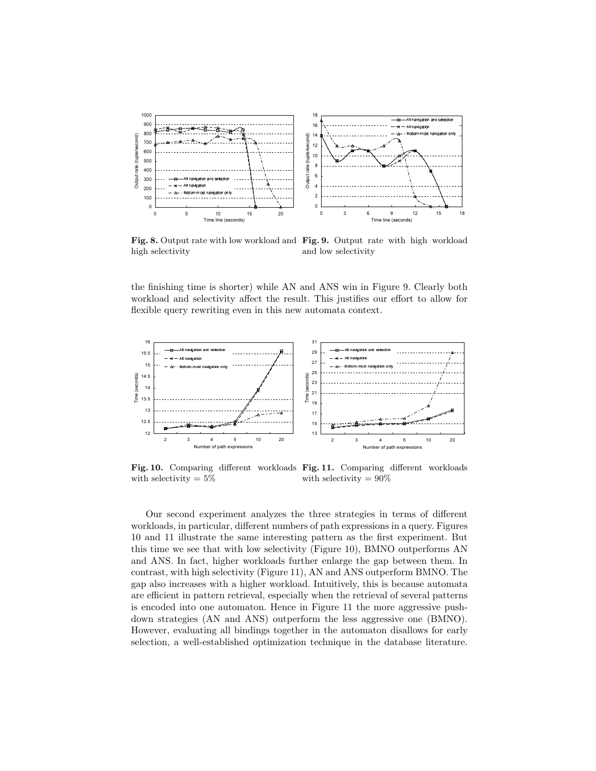

Fig. 8. Output rate with low workload and Fig. 9. Output rate with high workload high selectivity and low selectivity

the finishing time is shorter) while AN and ANS win in Figure 9. Clearly both workload and selectivity affect the result. This justifies our effort to allow for flexible query rewriting even in this new automata context.



Fig. 10. Comparing different workloads Fig. 11. Comparing different workloads with selectivity  $= 5\%$ 

with selectivity  $= 90\%$ 

Our second experiment analyzes the three strategies in terms of different workloads, in particular, different numbers of path expressions in a query. Figures 10 and 11 illustrate the same interesting pattern as the first experiment. But this time we see that with low selectivity (Figure 10), BMNO outperforms AN and ANS. In fact, higher workloads further enlarge the gap between them. In contrast, with high selectivity (Figure 11), AN and ANS outperform BMNO. The gap also increases with a higher workload. Intuitively, this is because automata are efficient in pattern retrieval, especially when the retrieval of several patterns is encoded into one automaton. Hence in Figure 11 the more aggressive pushdown strategies (AN and ANS) outperform the less aggressive one (BMNO). However, evaluating all bindings together in the automaton disallows for early selection, a well-established optimization technique in the database literature.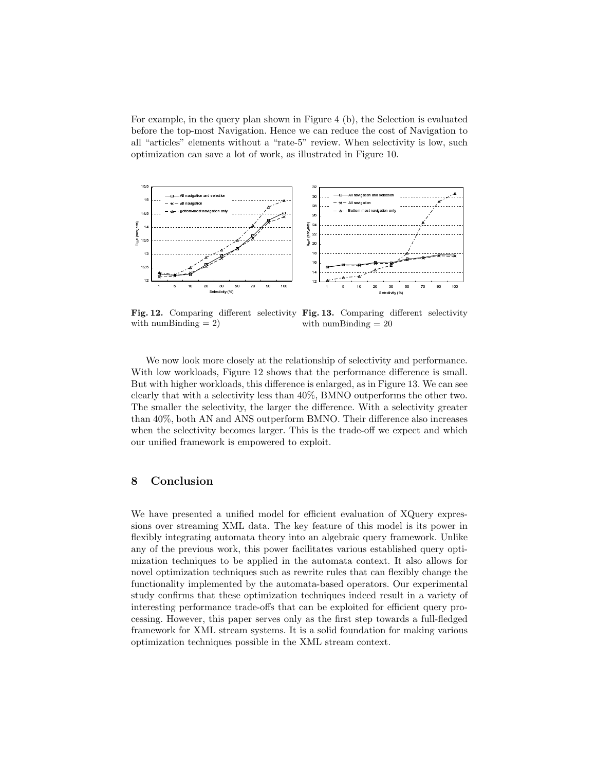For example, in the query plan shown in Figure 4 (b), the Selection is evaluated before the top-most Navigation. Hence we can reduce the cost of Navigation to all "articles" elements without a "rate-5" review. When selectivity is low, such optimization can save a lot of work, as illustrated in Figure 10.



Fig. 12. Comparing different selectivity Fig. 13. Comparing different selectivity with numBinding  $= 2$ ) with numBinding  $= 20$ 

We now look more closely at the relationship of selectivity and performance. With low workloads, Figure 12 shows that the performance difference is small. But with higher workloads, this difference is enlarged, as in Figure 13. We can see clearly that with a selectivity less than 40%, BMNO outperforms the other two. The smaller the selectivity, the larger the difference. With a selectivity greater than 40%, both AN and ANS outperform BMNO. Their difference also increases when the selectivity becomes larger. This is the trade-off we expect and which our unified framework is empowered to exploit.

## 8 Conclusion

We have presented a unified model for efficient evaluation of XQuery expressions over streaming XML data. The key feature of this model is its power in flexibly integrating automata theory into an algebraic query framework. Unlike any of the previous work, this power facilitates various established query optimization techniques to be applied in the automata context. It also allows for novel optimization techniques such as rewrite rules that can flexibly change the functionality implemented by the automata-based operators. Our experimental study confirms that these optimization techniques indeed result in a variety of interesting performance trade-offs that can be exploited for efficient query processing. However, this paper serves only as the first step towards a full-fledged framework for XML stream systems. It is a solid foundation for making various optimization techniques possible in the XML stream context.